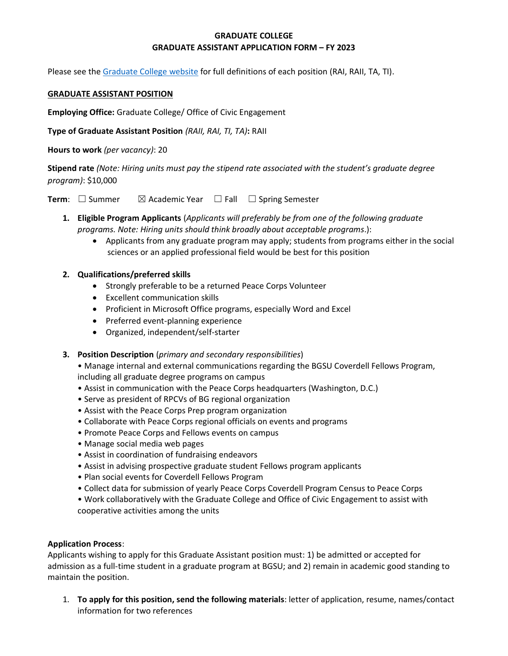# **GRADUATE COLLEGE GRADUATE ASSISTANT APPLICATION FORM – FY 2023**

Please see the [Graduate College website](https://www.bgsu.edu/content/dam/BGSU/graduate-college/GADocs/Grad-Col-GA-Position-Descriptions-21-22.pdf) for full definitions of each position (RAI, RAII, TA, TI).

#### **GRADUATE ASSISTANT POSITION**

**Employing Office:** Graduate College/ Office of Civic Engagement

**Type of Graduate Assistant Position** *(RAII, RAI, TI, TA)***:** RAII

**Hours to work** *(per vacancy)*: 20

**Stipend rate** *(Note: Hiring units must pay the stipend rate associated with the student's graduate degree program)*: \$10,000

**Term**: □ Summer  $\boxtimes$  Academic Year □ Fall □ Spring Semester

- **1. Eligible Program Applicants** (*Applicants will preferably be from one of the following graduate programs. Note: Hiring units should think broadly about acceptable programs*.):
	- Applicants from any graduate program may apply; students from programs either in the social sciences or an applied professional field would be best for this position

## **2. Qualifications/preferred skills**

- Strongly preferable to be a returned Peace Corps Volunteer
- Excellent communication skills
- Proficient in Microsoft Office programs, especially Word and Excel
- Preferred event-planning experience
- Organized, independent/self-starter

### **3. Position Description** (*primary and secondary responsibilities*)

- Manage internal and external communications regarding the BGSU Coverdell Fellows Program, including all graduate degree programs on campus
- Assist in communication with the Peace Corps headquarters (Washington, D.C.)
- Serve as president of RPCVs of BG regional organization
- Assist with the Peace Corps Prep program organization
- Collaborate with Peace Corps regional officials on events and programs
- Promote Peace Corps and Fellows events on campus
- Manage social media web pages
- Assist in coordination of fundraising endeavors
- Assist in advising prospective graduate student Fellows program applicants
- Plan social events for Coverdell Fellows Program
- Collect data for submission of yearly Peace Corps Coverdell Program Census to Peace Corps
- Work collaboratively with the Graduate College and Office of Civic Engagement to assist with cooperative activities among the units

### **Application Process**:

Applicants wishing to apply for this Graduate Assistant position must: 1) be admitted or accepted for admission as a full-time student in a graduate program at BGSU; and 2) remain in academic good standing to maintain the position.

1. **To apply for this position, send the following materials**: letter of application, resume, names/contact information for two references